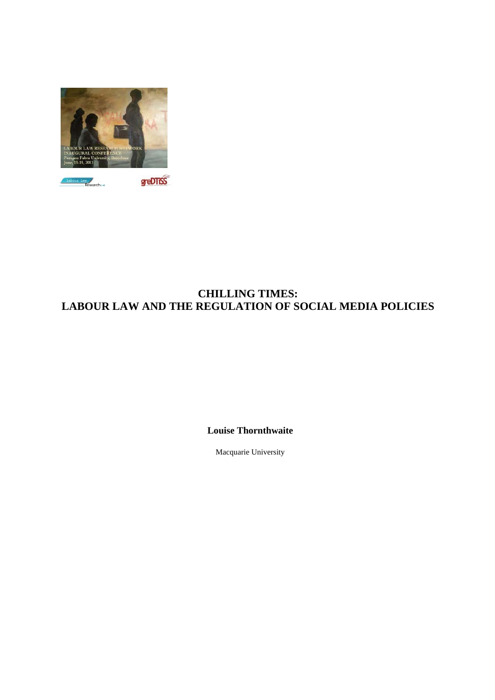

# **CHILLING TIMES: LABOUR LAW AND THE REGULATION OF SOCIAL MEDIA POLICIES**

**Louise Thornthwaite**

Macquarie University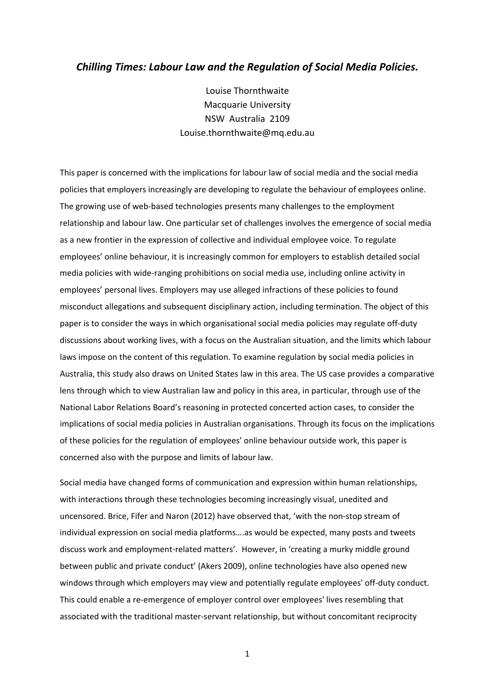# *Chilling Times: Labour Law and the Regulation of Social Media Policies.*

Louise Thornthwaite Macquarie University NSW Australia 2109 Louise.thornthwaite@mq.edu.au

This paper is concerned with the implications for labour law of social media and the social media policies that employers increasingly are developing to regulate the behaviour of employees online. The growing use of web-based technologies presents many challenges to the employment relationship and labour law. One particular set of challenges involves the emergence of social media as a new frontier in the expression of collective and individual employee voice. To regulate employees' online behaviour, it is increasingly common for employers to establish detailed social media policies with wide‐ranging prohibitions on social media use, including online activity in employees' personal lives. Employers may use alleged infractions of these policies to found misconduct allegations and subsequent disciplinary action, including termination. The object of this paper is to consider the ways in which organisational social media policies may regulate off‐duty discussions about working lives, with a focus on the Australian situation, and the limits which labour laws impose on the content of this regulation. To examine regulation by social media policies in Australia, this study also draws on United States law in this area. The US case provides a comparative lens through which to view Australian law and policy in this area, in particular, through use of the National Labor Relations Board's reasoning in protected concerted action cases, to consider the implications of social media policies in Australian organisations. Through its focus on the implications of these policies for the regulation of employees' online behaviour outside work, this paper is concerned also with the purpose and limits of labour law.

Social media have changed forms of communication and expression within human relationships, with interactions through these technologies becoming increasingly visual, unedited and uncensored. Brice, Fifer and Naron (2012) have observed that, 'with the non‐stop stream of individual expression on social media platforms….as would be expected, many posts and tweets discuss work and employment‐related matters'. However, in 'creating a murky middle ground between public and private conduct' (Akers 2009), online technologies have also opened new windows through which employers may view and potentially regulate employees' off-duty conduct. This could enable a re‐emergence of employer control over employees' lives resembling that associated with the traditional master‐servant relationship, but without concomitant reciprocity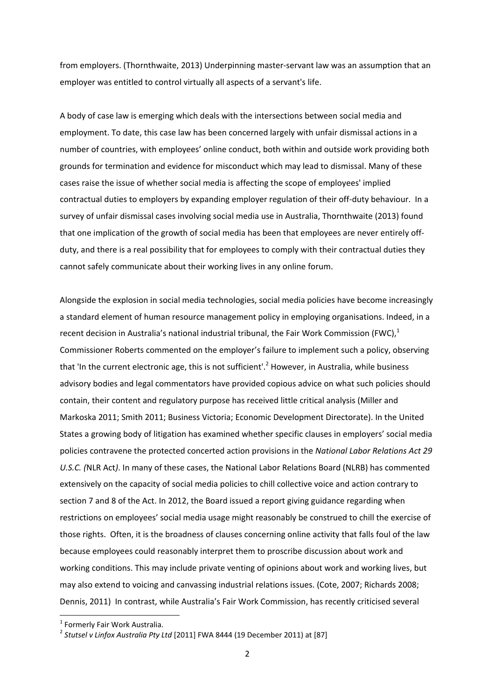from employers. (Thornthwaite, 2013) Underpinning master‐servant law was an assumption that an employer was entitled to control virtually all aspects of a servant's life.

A body of case law is emerging which deals with the intersections between social media and employment. To date, this case law has been concerned largely with unfair dismissal actions in a number of countries, with employees' online conduct, both within and outside work providing both grounds for termination and evidence for misconduct which may lead to dismissal. Many of these cases raise the issue of whether social media is affecting the scope of employees' implied contractual duties to employers by expanding employer regulation of their off‐duty behaviour. In a survey of unfair dismissal cases involving social media use in Australia, Thornthwaite (2013) found that one implication of the growth of social media has been that employees are never entirely off‐ duty, and there is a real possibility that for employees to comply with their contractual duties they cannot safely communicate about their working lives in any online forum.

Alongside the explosion in social media technologies, social media policies have become increasingly a standard element of human resource management policy in employing organisations. Indeed, in a recent decision in Australia's national industrial tribunal, the Fair Work Commission (FWC), $<sup>1</sup>$ </sup> Commissioner Roberts commented on the employer's failure to implement such a policy, observing that 'In the current electronic age, this is not sufficient'.<sup>2</sup> However, in Australia, while business advisory bodies and legal commentators have provided copious advice on what such policies should contain, their content and regulatory purpose has received little critical analysis (Miller and Markoska 2011; Smith 2011; Business Victoria; Economic Development Directorate). In the United States a growing body of litigation has examined whether specific clauses in employers' social media policies contravene the protected concerted action provisions in the *National Labor Relations Act 29 U.S.C. (*NLR Act*)*. In many of these cases, the National Labor Relations Board (NLRB) has commented extensively on the capacity of social media policies to chill collective voice and action contrary to section 7 and 8 of the Act. In 2012, the Board issued a report giving guidance regarding when restrictions on employees' social media usage might reasonably be construed to chill the exercise of those rights. Often, it is the broadness of clauses concerning online activity that falls foul of the law because employees could reasonably interpret them to proscribe discussion about work and working conditions. This may include private venting of opinions about work and working lives, but may also extend to voicing and canvassing industrial relations issues. (Cote, 2007; Richards 2008; Dennis, 2011) In contrast, while Australia's Fair Work Commission, has recently criticised several

<sup>&</sup>lt;sup>1</sup> Formerly Fair Work Australia.<br><sup>2</sup> Stutsel v Linfox Australia Pty Ltd [2011] FWA 8444 (19 December 2011) at [87]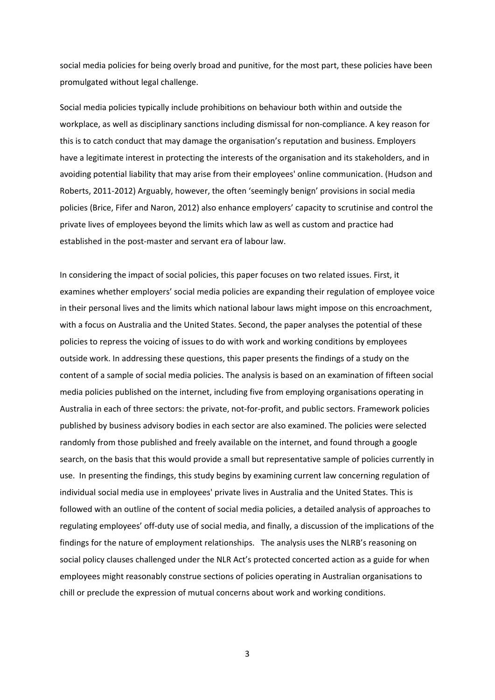social media policies for being overly broad and punitive, for the most part, these policies have been promulgated without legal challenge.

Social media policies typically include prohibitions on behaviour both within and outside the workplace, as well as disciplinary sanctions including dismissal for non-compliance. A key reason for this is to catch conduct that may damage the organisation's reputation and business. Employers have a legitimate interest in protecting the interests of the organisation and its stakeholders, and in avoiding potential liability that may arise from their employees' online communication. (Hudson and Roberts, 2011-2012) Arguably, however, the often 'seemingly benign' provisions in social media policies (Brice, Fifer and Naron, 2012) also enhance employers' capacity to scrutinise and control the private lives of employees beyond the limits which law as well as custom and practice had established in the post-master and servant era of labour law.

In considering the impact of social policies, this paper focuses on two related issues. First, it examines whether employers' social media policies are expanding their regulation of employee voice in their personal lives and the limits which national labour laws might impose on this encroachment, with a focus on Australia and the United States. Second, the paper analyses the potential of these policies to repress the voicing of issues to do with work and working conditions by employees outside work. In addressing these questions, this paper presents the findings of a study on the content of a sample of social media policies. The analysis is based on an examination of fifteen social media policies published on the internet, including five from employing organisations operating in Australia in each of three sectors: the private, not‐for‐profit, and public sectors. Framework policies published by business advisory bodies in each sector are also examined. The policies were selected randomly from those published and freely available on the internet, and found through a google search, on the basis that this would provide a small but representative sample of policies currently in use. In presenting the findings, this study begins by examining current law concerning regulation of individual social media use in employees' private lives in Australia and the United States. This is followed with an outline of the content of social media policies, a detailed analysis of approaches to regulating employees' off‐duty use of social media, and finally, a discussion of the implications of the findings for the nature of employment relationships. The analysis uses the NLRB's reasoning on social policy clauses challenged under the NLR Act's protected concerted action as a guide for when employees might reasonably construe sections of policies operating in Australian organisations to chill or preclude the expression of mutual concerns about work and working conditions.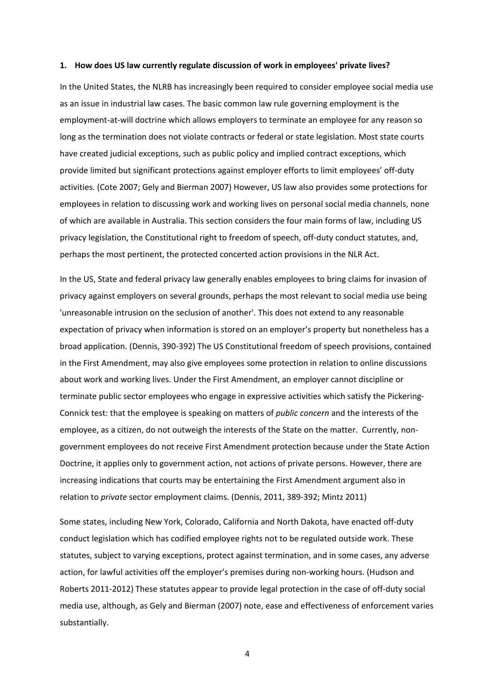#### **1. How does US law currently regulate discussion of work in employees' private lives?**

In the United States, the NLRB has increasingly been required to consider employee social media use as an issue in industrial law cases. The basic common law rule governing employment is the employment‐at‐will doctrine which allows employers to terminate an employee for any reason so long as the termination does not violate contracts or federal or state legislation. Most state courts have created judicial exceptions, such as public policy and implied contract exceptions, which provide limited but significant protections against employer efforts to limit employees' off‐duty activities. (Cote 2007; Gely and Bierman 2007) However, US law also provides some protections for employees in relation to discussing work and working lives on personal social media channels, none of which are available in Australia. This section considers the four main forms of law, including US privacy legislation, the Constitutional right to freedom of speech, off‐duty conduct statutes, and, perhaps the most pertinent, the protected concerted action provisions in the NLR Act.

In the US, State and federal privacy law generally enables employees to bring claims for invasion of privacy against employers on several grounds, perhaps the most relevant to social media use being 'unreasonable intrusion on the seclusion of another'. This does not extend to any reasonable expectation of privacy when information is stored on an employer's property but nonetheless has a broad application. (Dennis, 390‐392) The US Constitutional freedom of speech provisions, contained in the First Amendment, may also give employees some protection in relation to online discussions about work and working lives. Under the First Amendment, an employer cannot discipline or terminate public sector employees who engage in expressive activities which satisfy the Pickering‐ Connick test: that the employee is speaking on matters of *public concern* and the interests of the employee, as a citizen, do not outweigh the interests of the State on the matter. Currently, nongovernment employees do not receive First Amendment protection because under the State Action Doctrine, it applies only to government action, not actions of private persons. However, there are increasing indications that courts may be entertaining the First Amendment argument also in relation to *private* sector employment claims. (Dennis, 2011, 389‐392; Mintz 2011)

Some states, including New York, Colorado, California and North Dakota, have enacted off‐duty conduct legislation which has codified employee rights not to be regulated outside work. These statutes, subject to varying exceptions, protect against termination, and in some cases, any adverse action, for lawful activities off the employer's premises during non‐working hours. (Hudson and Roberts 2011-2012) These statutes appear to provide legal protection in the case of off-duty social media use, although, as Gely and Bierman (2007) note, ease and effectiveness of enforcement varies substantially.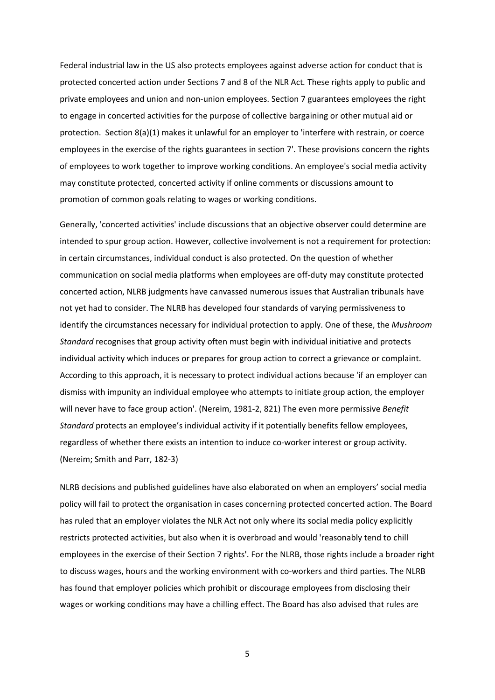Federal industrial law in the US also protects employees against adverse action for conduct that is protected concerted action under Sections 7 and 8 of the NLR Act*.* These rights apply to public and private employees and union and non‐union employees. Section 7 guarantees employees the right to engage in concerted activities for the purpose of collective bargaining or other mutual aid or protection. Section 8(a)(1) makes it unlawful for an employer to 'interfere with restrain, or coerce employees in the exercise of the rights guarantees in section 7'. These provisions concern the rights of employees to work together to improve working conditions. An employee's social media activity may constitute protected, concerted activity if online comments or discussions amount to promotion of common goals relating to wages or working conditions.

Generally, 'concerted activities' include discussions that an objective observer could determine are intended to spur group action. However, collective involvement is not a requirement for protection: in certain circumstances, individual conduct is also protected. On the question of whether communication on social media platforms when employees are off‐duty may constitute protected concerted action, NLRB judgments have canvassed numerous issues that Australian tribunals have not yet had to consider. The NLRB has developed four standards of varying permissiveness to identify the circumstances necessary for individual protection to apply. One of these, the *Mushroom Standard* recognises that group activity often must begin with individual initiative and protects individual activity which induces or prepares for group action to correct a grievance or complaint. According to this approach, it is necessary to protect individual actions because 'if an employer can dismiss with impunity an individual employee who attempts to initiate group action, the employer will never have to face group action'. (Nereim, 1981‐2, 821) The even more permissive *Benefit Standard* protects an employee's individual activity if it potentially benefits fellow employees, regardless of whether there exists an intention to induce co‐worker interest or group activity. (Nereim; Smith and Parr, 182‐3)

NLRB decisions and published guidelines have also elaborated on when an employers' social media policy will fail to protect the organisation in cases concerning protected concerted action. The Board has ruled that an employer violates the NLR Act not only where its social media policy explicitly restricts protected activities, but also when it is overbroad and would 'reasonably tend to chill employees in the exercise of their Section 7 rights'. For the NLRB, those rights include a broader right to discuss wages, hours and the working environment with co-workers and third parties. The NLRB has found that employer policies which prohibit or discourage employees from disclosing their wages or working conditions may have a chilling effect. The Board has also advised that rules are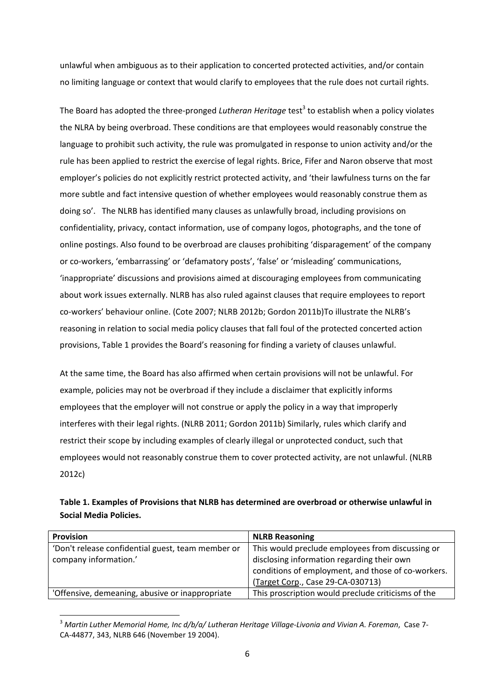unlawful when ambiguous as to their application to concerted protected activities, and/or contain no limiting language or context that would clarify to employees that the rule does not curtail rights.

The Board has adopted the three-pronged *Lutheran Heritage* test<sup>3</sup> to establish when a policy violates the NLRA by being overbroad. These conditions are that employees would reasonably construe the language to prohibit such activity, the rule was promulgated in response to union activity and/or the rule has been applied to restrict the exercise of legal rights. Brice, Fifer and Naron observe that most employer's policies do not explicitly restrict protected activity, and 'their lawfulness turns on the far more subtle and fact intensive question of whether employees would reasonably construe them as doing so'. The NLRB has identified many clauses as unlawfully broad, including provisions on confidentiality, privacy, contact information, use of company logos, photographs, and the tone of online postings. Also found to be overbroad are clauses prohibiting 'disparagement' of the company or co‐workers, 'embarrassing' or 'defamatory posts', 'false' or 'misleading' communications, 'inappropriate' discussions and provisions aimed at discouraging employees from communicating about work issues externally. NLRB has also ruled against clauses that require employees to report co‐workers' behaviour online. (Cote 2007; NLRB 2012b; Gordon 2011b)To illustrate the NLRB's reasoning in relation to social media policy clauses that fall foul of the protected concerted action provisions, Table 1 provides the Board's reasoning for finding a variety of clauses unlawful.

At the same time, the Board has also affirmed when certain provisions will not be unlawful. For example, policies may not be overbroad if they include a disclaimer that explicitly informs employees that the employer will not construe or apply the policy in a way that improperly interferes with their legal rights. (NLRB 2011; Gordon 2011b) Similarly, rules which clarify and restrict their scope by including examples of clearly illegal or unprotected conduct, such that employees would not reasonably construe them to cover protected activity, are not unlawful. (NLRB 2012c)

| Table 1. Examples of Provisions that NLRB has determined are overbroad or otherwise unlawful in |
|-------------------------------------------------------------------------------------------------|
| Social Media Policies.                                                                          |

| Provision                                         | <b>NLRB Reasoning</b>                              |
|---------------------------------------------------|----------------------------------------------------|
| 'Don't release confidential guest, team member or | This would preclude employees from discussing or   |
| company information.'                             | disclosing information regarding their own         |
|                                                   | conditions of employment, and those of co-workers. |
|                                                   | (Target Corp., Case 29-CA-030713)                  |
| 'Offensive, demeaning, abusive or inappropriate   | This proscription would preclude criticisms of the |

<sup>3</sup> *Martin Luther Memorial Home, Inc d/b/a/ Lutheran Heritage Village‐Livonia and Vivian A. Foreman*, Case 7‐ CA‐44877, 343, NLRB 646 (November 19 2004).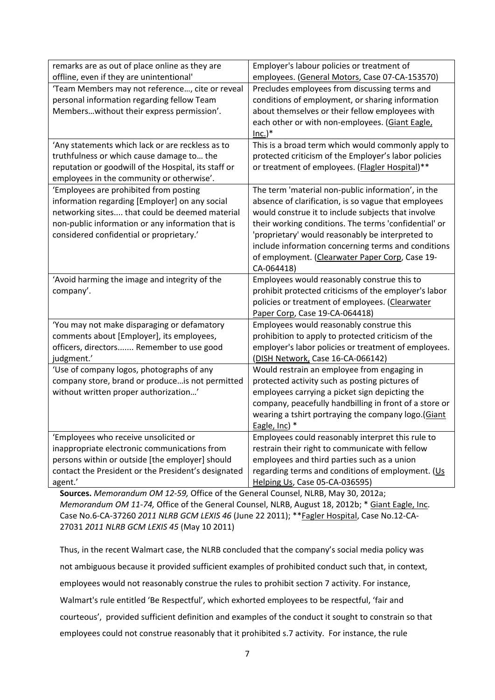| remarks are as out of place online as they are       | Employer's labour policies or treatment of             |
|------------------------------------------------------|--------------------------------------------------------|
| offline, even if they are unintentional'             | employees. (General Motors, Case 07-CA-153570)         |
| 'Team Members may not reference, cite or reveal      | Precludes employees from discussing terms and          |
| personal information regarding fellow Team           | conditions of employment, or sharing information       |
| Memberswithout their express permission'.            | about themselves or their fellow employees with        |
|                                                      | each other or with non-employees. (Giant Eagle,        |
|                                                      | $Inc.$ )*                                              |
| 'Any statements which lack or are reckless as to     | This is a broad term which would commonly apply to     |
| truthfulness or which cause damage to the            | protected criticism of the Employer's labor policies   |
| reputation or goodwill of the Hospital, its staff or | or treatment of employees. (Flagler Hospital)**        |
| employees in the community or otherwise'.            |                                                        |
| 'Employees are prohibited from posting               | The term 'material non-public information', in the     |
| information regarding [Employer] on any social       | absence of clarification, is so vague that employees   |
| networking sites that could be deemed material       | would construe it to include subjects that involve     |
| non-public information or any information that is    | their working conditions. The terms 'confidential' or  |
| considered confidential or proprietary.'             | 'proprietary' would reasonably be interpreted to       |
|                                                      | include information concerning terms and conditions    |
|                                                      | of employment. (Clearwater Paper Corp, Case 19-        |
|                                                      | CA-064418)                                             |
| 'Avoid harming the image and integrity of the        | Employees would reasonably construe this to            |
| company'.                                            | prohibit protected criticisms of the employer's labor  |
|                                                      | policies or treatment of employees. (Clearwater        |
|                                                      | Paper Corp, Case 19-CA-064418)                         |
| 'You may not make disparaging or defamatory          | Employees would reasonably construe this               |
| comments about [Employer], its employees,            | prohibition to apply to protected criticism of the     |
| officers, directors Remember to use good             | employer's labor policies or treatment of employees.   |
| judgment.'                                           | (DISH Network, Case 16-CA-066142)                      |
| 'Use of company logos, photographs of any            | Would restrain an employee from engaging in            |
| company store, brand or produce is not permitted     | protected activity such as posting pictures of         |
| without written proper authorization'                | employees carrying a picket sign depicting the         |
|                                                      | company, peacefully handbilling in front of a store or |
|                                                      | wearing a tshirt portraying the company logo.(Giant    |
|                                                      | Eagle, Inc) *                                          |
| 'Employees who receive unsolicited or                | Employees could reasonably interpret this rule to      |
| inappropriate electronic communications from         | restrain their right to communicate with fellow        |
| persons within or outside [the employer] should      | employees and third parties such as a union            |
| contact the President or the President's designated  | regarding terms and conditions of employment. (Us      |
| agent.'                                              | Helping Us, Case 05-CA-036595)                         |

**Sources.** *Memorandum OM 12‐59,* Office of the General Counsel, NLRB, May 30, 2012a; *Memorandum OM 11‐74,* Office of the General Counsel, NLRB, August 18, 2012b; \* Giant Eagle, Inc. Case No.6‐CA‐37260 *2011 NLRB GCM LEXIS 46* (June 22 2011); \*\*Fagler Hospital, Case No.12‐CA‐ 27031 *2011 NLRB GCM LEXIS 45* (May 10 2011)

Thus, in the recent Walmart case, the NLRB concluded that the company's social media policy was not ambiguous because it provided sufficient examples of prohibited conduct such that, in context, employees would not reasonably construe the rules to prohibit section 7 activity. For instance, Walmart's rule entitled 'Be Respectful', which exhorted employees to be respectful, 'fair and courteous', provided sufficient definition and examples of the conduct it sought to constrain so that employees could not construe reasonably that it prohibited s.7 activity. For instance, the rule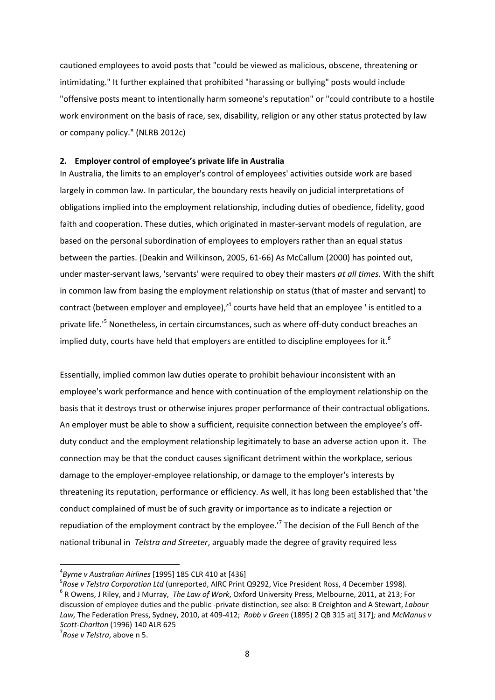cautioned employees to avoid posts that "could be viewed as malicious, obscene, threatening or intimidating." It further explained that prohibited "harassing or bullying" posts would include "offensive posts meant to intentionally harm someone's reputation" or "could contribute to a hostile work environment on the basis of race, sex, disability, religion or any other status protected by law or company policy." (NLRB 2012c)

## **2. Employer control of employee's private life in Australia**

In Australia, the limits to an employer's control of employees' activities outside work are based largely in common law. In particular, the boundary rests heavily on judicial interpretations of obligations implied into the employment relationship, including duties of obedience, fidelity, good faith and cooperation. These duties, which originated in master-servant models of regulation, are based on the personal subordination of employees to employers rather than an equal status between the parties. (Deakin and Wilkinson, 2005, 61‐66) As McCallum (2000) has pointed out, under master‐servant laws, 'servants' were required to obey their masters *at all times.* With the shift in common law from basing the employment relationship on status (that of master and servant) to contract (between employer and employee),'<sup>4</sup> courts have held that an employee ' is entitled to a private life.<sup>15</sup> Nonetheless, in certain circumstances, such as where off-duty conduct breaches an implied duty, courts have held that employers are entitled to discipline employees for it.*<sup>6</sup>*

Essentially, implied common law duties operate to prohibit behaviour inconsistent with an employee's work performance and hence with continuation of the employment relationship on the basis that it destroys trust or otherwise injures proper performance of their contractual obligations. An employer must be able to show a sufficient, requisite connection between the employee's off‐ duty conduct and the employment relationship legitimately to base an adverse action upon it. The connection may be that the conduct causes significant detriment within the workplace, serious damage to the employer‐employee relationship, or damage to the employer's interests by threatening its reputation, performance or efficiency. As well, it has long been established that 'the conduct complained of must be of such gravity or importance as to indicate a rejection or repudiation of the employment contract by the employee.'<sup>7</sup> The decision of the Full Bench of the national tribunal in *Telstra and Streeter*, arguably made the degree of gravity required less

<sup>&</sup>lt;sup>4</sup> Byrne v Australian Airlines [1995] 185 CLR 410 at [436]<br><sup>5</sup> Bese u Telstre Corporation Ltd (unsepected, AIRC Brint

 $5$ Rose v Telstra Corporation Ltd (unreported, AIRC Print Q9292, Vice President Ross, 4 December 1998).<br><sup>6</sup> R Owens, J Riley, and J Murray, The Law of Work, Oxford University Press, Melbourne, 2011, at 213; For discussion of employee duties and the public ‐private distinction, see also: B Creighton and A Stewart, *Labour Law,* The Federation Press, Sydney, 2010, at 409‐412; *Robb v Green* (1895) 2 QB 315 at[ 317]*;* and *McManus v Scott‐Charlton* (1996) <sup>140</sup> ALR <sup>625</sup> <sup>7</sup>

*Rose v Telstra*, above n 5.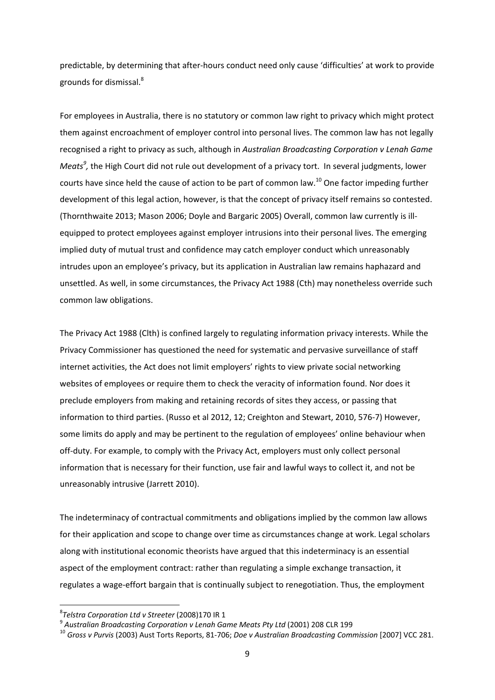predictable, by determining that after‐hours conduct need only cause 'difficulties' at work to provide grounds for dismissal.<sup>8</sup>

For employees in Australia, there is no statutory or common law right to privacy which might protect them against encroachment of employer control into personal lives. The common law has not legally recognised a right to privacy as such, although in *Australian Broadcasting Corporation v Lenah Game Meats<sup>9</sup>*, the High Court did not rule out development of a privacy tort. In several judgments, lower courts have since held the cause of action to be part of common law.<sup>10</sup> One factor impeding further development of this legal action, however, is that the concept of privacy itself remains so contested. (Thornthwaite 2013; Mason 2006; Doyle and Bargaric 2005) Overall, common law currently is ill‐ equipped to protect employees against employer intrusions into their personal lives. The emerging implied duty of mutual trust and confidence may catch employer conduct which unreasonably intrudes upon an employee's privacy, but its application in Australian law remains haphazard and unsettled. As well, in some circumstances, the Privacy Act 1988 (Cth) may nonetheless override such common law obligations.

The Privacy Act 1988 (Clth) is confined largely to regulating information privacy interests. While the Privacy Commissioner has questioned the need for systematic and pervasive surveillance of staff internet activities, the Act does not limit employers' rights to view private social networking websites of employees or require them to check the veracity of information found. Nor does it preclude employers from making and retaining records of sites they access, or passing that information to third parties. (Russo et al 2012, 12; Creighton and Stewart, 2010, 576‐7) However, some limits do apply and may be pertinent to the regulation of employees' online behaviour when off‐duty. For example, to comply with the Privacy Act, employers must only collect personal information that is necessary for their function, use fair and lawful ways to collect it, and not be unreasonably intrusive (Jarrett 2010).

The indeterminacy of contractual commitments and obligations implied by the common law allows for their application and scope to change over time as circumstances change at work. Legal scholars along with institutional economic theorists have argued that this indeterminacy is an essential aspect of the employment contract: rather than regulating a simple exchange transaction, it regulates a wage‐effort bargain that is continually subject to renegotiation. Thus, the employment

<sup>&</sup>lt;sup>8</sup>Telstra Corporation Ltd v Streeter (2008)170 IR 1

and Corporation Ltd + Streeter (2000) - Carrier Meats Pty Ltd (2001) 208 CLR 199<br><sup>9</sup> Australian Broadcasting Corporation v Lenah Game Meats Pty Ltd (2001) 208 CLR 199<br><sup>10</sup> Gross v Purvis (2003) Aust Torts Reports, 81-706;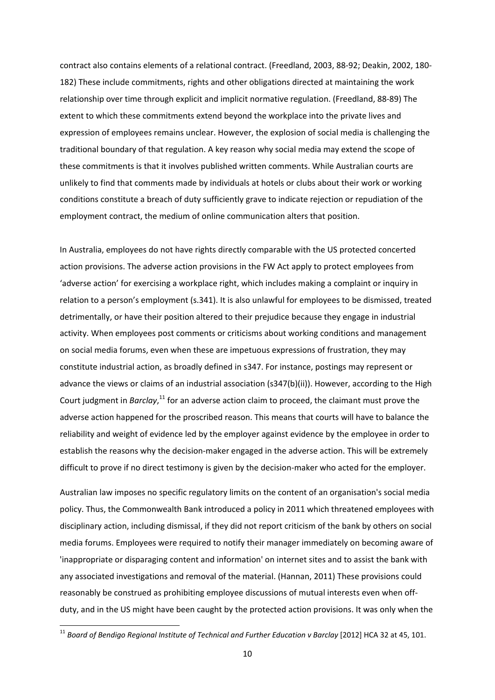contract also contains elements of a relational contract. (Freedland, 2003, 88‐92; Deakin, 2002, 180‐ 182) These include commitments, rights and other obligations directed at maintaining the work relationship over time through explicit and implicit normative regulation. (Freedland, 88‐89) The extent to which these commitments extend beyond the workplace into the private lives and expression of employees remains unclear. However, the explosion of social media is challenging the traditional boundary of that regulation. A key reason why social media may extend the scope of these commitments is that it involves published written comments. While Australian courts are unlikely to find that comments made by individuals at hotels or clubs about their work or working conditions constitute a breach of duty sufficiently grave to indicate rejection or repudiation of the employment contract, the medium of online communication alters that position.

In Australia, employees do not have rights directly comparable with the US protected concerted action provisions. The adverse action provisions in the FW Act apply to protect employees from 'adverse action' for exercising a workplace right, which includes making a complaint or inquiry in relation to a person's employment (s.341). It is also unlawful for employees to be dismissed, treated detrimentally, or have their position altered to their prejudice because they engage in industrial activity. When employees post comments or criticisms about working conditions and management on social media forums, even when these are impetuous expressions of frustration, they may constitute industrial action, as broadly defined in s347. For instance, postings may represent or advance the views or claims of an industrial association (s347(b)(ii)). However, according to the High Court judgment in *Barclay*,<sup>11</sup> for an adverse action claim to proceed, the claimant must prove the adverse action happened for the proscribed reason. This means that courts will have to balance the reliability and weight of evidence led by the employer against evidence by the employee in order to establish the reasons why the decision-maker engaged in the adverse action. This will be extremely difficult to prove if no direct testimony is given by the decision-maker who acted for the employer.

Australian law imposes no specific regulatory limits on the content of an organisation's social media policy. Thus, the Commonwealth Bank introduced a policy in 2011 which threatened employees with disciplinary action, including dismissal, if they did not report criticism of the bank by others on social media forums. Employees were required to notify their manager immediately on becoming aware of 'inappropriate or disparaging content and information' on internet sites and to assist the bank with any associated investigations and removal of the material. (Hannan, 2011) These provisions could reasonably be construed as prohibiting employee discussions of mutual interests even when off‐ duty, and in the US might have been caught by the protected action provisions. It was only when the

<sup>11</sup> *Board of Bendigo Regional Institute of Technical and Further Education v Barclay* [2012] HCA 32 at 45, 101.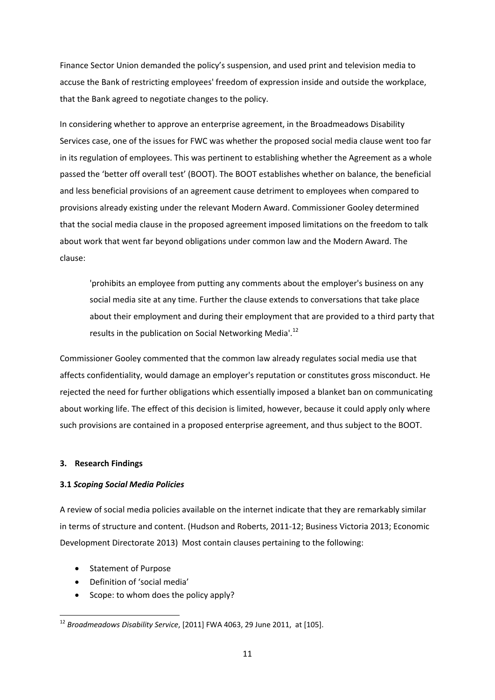Finance Sector Union demanded the policy's suspension, and used print and television media to accuse the Bank of restricting employees' freedom of expression inside and outside the workplace, that the Bank agreed to negotiate changes to the policy.

In considering whether to approve an enterprise agreement, in the Broadmeadows Disability Services case, one of the issues for FWC was whether the proposed social media clause went too far in its regulation of employees. This was pertinent to establishing whether the Agreement as a whole passed the 'better off overall test' (BOOT). The BOOT establishes whether on balance, the beneficial and less beneficial provisions of an agreement cause detriment to employees when compared to provisions already existing under the relevant Modern Award. Commissioner Gooley determined that the social media clause in the proposed agreement imposed limitations on the freedom to talk about work that went far beyond obligations under common law and the Modern Award. The clause:

'prohibits an employee from putting any comments about the employer's business on any social media site at any time. Further the clause extends to conversations that take place about their employment and during their employment that are provided to a third party that results in the publication on Social Networking Media'.<sup>12</sup>

Commissioner Gooley commented that the common law already regulates social media use that affects confidentiality, would damage an employer's reputation or constitutes gross misconduct. He rejected the need for further obligations which essentially imposed a blanket ban on communicating about working life. The effect of this decision is limited, however, because it could apply only where such provisions are contained in a proposed enterprise agreement, and thus subject to the BOOT.

### **3. Research Findings**

### **3.1** *Scoping Social Media Policies*

A review of social media policies available on the internet indicate that they are remarkably similar in terms of structure and content. (Hudson and Roberts, 2011‐12; Business Victoria 2013; Economic Development Directorate 2013) Most contain clauses pertaining to the following:

• Statement of Purpose

- Definition of 'social media'
- Scope: to whom does the policy apply?

<sup>12</sup> *Broadmeadows Disability Service*, [2011] FWA 4063, 29 June 2011, at [105].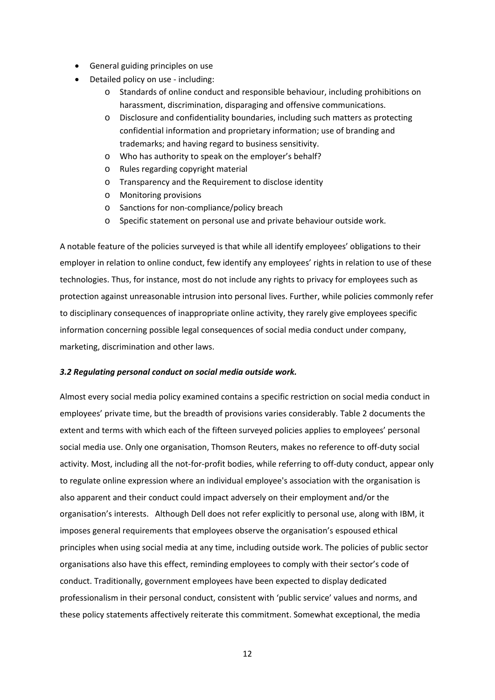- General guiding principles on use
- Detailed policy on use ‐ including:
	- o Standards of online conduct and responsible behaviour, including prohibitions on harassment, discrimination, disparaging and offensive communications.
	- o Disclosure and confidentiality boundaries, including such matters as protecting confidential information and proprietary information; use of branding and trademarks; and having regard to business sensitivity.
	- o Who has authority to speak on the employer's behalf?
	- o Rules regarding copyright material
	- o Transparency and the Requirement to disclose identity
	- o Monitoring provisions
	- o Sanctions for non‐compliance/policy breach
	- o Specific statement on personal use and private behaviour outside work.

A notable feature of the policies surveyed is that while all identify employees' obligations to their employer in relation to online conduct, few identify any employees' rights in relation to use of these technologies. Thus, for instance, most do not include any rights to privacy for employees such as protection against unreasonable intrusion into personal lives. Further, while policies commonly refer to disciplinary consequences of inappropriate online activity, they rarely give employees specific information concerning possible legal consequences of social media conduct under company, marketing, discrimination and other laws.

# *3.2 Regulating personal conduct on social media outside work.*

Almost every social media policy examined contains a specific restriction on social media conduct in employees' private time, but the breadth of provisions varies considerably. Table 2 documents the extent and terms with which each of the fifteen surveyed policies applies to employees' personal social media use. Only one organisation, Thomson Reuters, makes no reference to off-duty social activity. Most, including all the not-for-profit bodies, while referring to off-duty conduct, appear only to regulate online expression where an individual employee's association with the organisation is also apparent and their conduct could impact adversely on their employment and/or the organisation's interests. Although Dell does not refer explicitly to personal use, along with IBM, it imposes general requirements that employees observe the organisation's espoused ethical principles when using social media at any time, including outside work. The policies of public sector organisations also have this effect, reminding employees to comply with their sector's code of conduct. Traditionally, government employees have been expected to display dedicated professionalism in their personal conduct, consistent with 'public service' values and norms, and these policy statements affectively reiterate this commitment. Somewhat exceptional, the media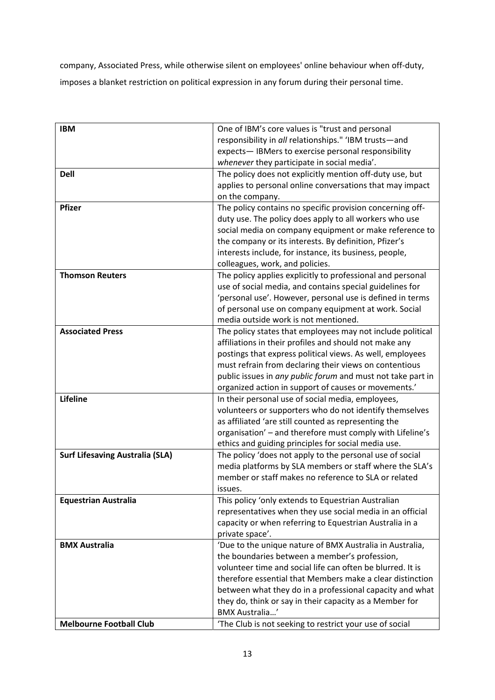company, Associated Press, while otherwise silent on employees' online behaviour when off‐duty, imposes a blanket restriction on political expression in any forum during their personal time.

| <b>IBM</b>                             | One of IBM's core values is "trust and personal             |
|----------------------------------------|-------------------------------------------------------------|
|                                        | responsibility in all relationships." 'IBM trusts-and       |
|                                        | expects-IBMers to exercise personal responsibility          |
|                                        | whenever they participate in social media'.                 |
| <b>Dell</b>                            | The policy does not explicitly mention off-duty use, but    |
|                                        | applies to personal online conversations that may impact    |
|                                        | on the company.                                             |
| <b>Pfizer</b>                          | The policy contains no specific provision concerning off-   |
|                                        | duty use. The policy does apply to all workers who use      |
|                                        | social media on company equipment or make reference to      |
|                                        | the company or its interests. By definition, Pfizer's       |
|                                        | interests include, for instance, its business, people,      |
|                                        | colleagues, work, and policies.                             |
| <b>Thomson Reuters</b>                 | The policy applies explicitly to professional and personal  |
|                                        | use of social media, and contains special guidelines for    |
|                                        | 'personal use'. However, personal use is defined in terms   |
|                                        | of personal use on company equipment at work. Social        |
|                                        | media outside work is not mentioned.                        |
| <b>Associated Press</b>                |                                                             |
|                                        | The policy states that employees may not include political  |
|                                        | affiliations in their profiles and should not make any      |
|                                        | postings that express political views. As well, employees   |
|                                        | must refrain from declaring their views on contentious      |
|                                        | public issues in any public forum and must not take part in |
|                                        | organized action in support of causes or movements.'        |
| Lifeline                               | In their personal use of social media, employees,           |
|                                        | volunteers or supporters who do not identify themselves     |
|                                        | as affiliated 'are still counted as representing the        |
|                                        | organisation' - and therefore must comply with Lifeline's   |
|                                        | ethics and guiding principles for social media use.         |
| <b>Surf Lifesaving Australia (SLA)</b> | The policy 'does not apply to the personal use of social    |
|                                        | media platforms by SLA members or staff where the SLA's     |
|                                        | member or staff makes no reference to SLA or related        |
|                                        | issues.                                                     |
| <b>Equestrian Australia</b>            | This policy 'only extends to Equestrian Australian          |
|                                        | representatives when they use social media in an official   |
|                                        | capacity or when referring to Equestrian Australia in a     |
|                                        | private space'.                                             |
| <b>BMX Australia</b>                   | 'Due to the unique nature of BMX Australia in Australia,    |
|                                        | the boundaries between a member's profession,               |
|                                        | volunteer time and social life can often be blurred. It is  |
|                                        | therefore essential that Members make a clear distinction   |
|                                        | between what they do in a professional capacity and what    |
|                                        | they do, think or say in their capacity as a Member for     |
|                                        | <b>BMX Australia'</b>                                       |
| <b>Melbourne Football Club</b>         | 'The Club is not seeking to restrict your use of social     |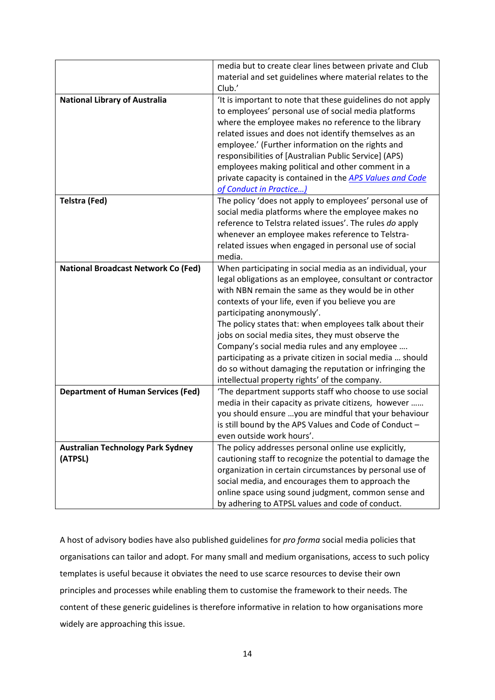|                                            | media but to create clear lines between private and Club                                                 |
|--------------------------------------------|----------------------------------------------------------------------------------------------------------|
|                                            | material and set guidelines where material relates to the                                                |
|                                            | Club.'                                                                                                   |
| <b>National Library of Australia</b>       | 'It is important to note that these guidelines do not apply                                              |
|                                            | to employees' personal use of social media platforms                                                     |
|                                            | where the employee makes no reference to the library                                                     |
|                                            | related issues and does not identify themselves as an                                                    |
|                                            | employee.' (Further information on the rights and                                                        |
|                                            | responsibilities of [Australian Public Service] (APS)                                                    |
|                                            | employees making political and other comment in a                                                        |
|                                            | private capacity is contained in the APS Values and Code                                                 |
|                                            | of Conduct in Practice)                                                                                  |
| Telstra (Fed)                              | The policy 'does not apply to employees' personal use of                                                 |
|                                            | social media platforms where the employee makes no                                                       |
|                                            | reference to Telstra related issues'. The rules do apply                                                 |
|                                            | whenever an employee makes reference to Telstra-                                                         |
|                                            | related issues when engaged in personal use of social                                                    |
|                                            | media.                                                                                                   |
| <b>National Broadcast Network Co (Fed)</b> | When participating in social media as an individual, your                                                |
|                                            | legal obligations as an employee, consultant or contractor                                               |
|                                            | with NBN remain the same as they would be in other                                                       |
|                                            | contexts of your life, even if you believe you are                                                       |
|                                            | participating anonymously'.                                                                              |
|                                            | The policy states that: when employees talk about their                                                  |
|                                            | jobs on social media sites, they must observe the                                                        |
|                                            |                                                                                                          |
|                                            | Company's social media rules and any employee                                                            |
|                                            | participating as a private citizen in social media  should                                               |
|                                            | do so without damaging the reputation or infringing the                                                  |
|                                            | intellectual property rights' of the company.<br>'The department supports staff who choose to use social |
| <b>Department of Human Services (Fed)</b>  | media in their capacity as private citizens, however                                                     |
|                                            |                                                                                                          |
|                                            | you should ensure  you are mindful that your behaviour                                                   |
|                                            | is still bound by the APS Values and Code of Conduct -                                                   |
|                                            | even outside work hours'.                                                                                |
| <b>Australian Technology Park Sydney</b>   | The policy addresses personal online use explicitly,                                                     |
| (ATPSL)                                    | cautioning staff to recognize the potential to damage the                                                |
|                                            | organization in certain circumstances by personal use of                                                 |
|                                            | social media, and encourages them to approach the                                                        |
|                                            | online space using sound judgment, common sense and                                                      |
|                                            | by adhering to ATPSL values and code of conduct.                                                         |

A host of advisory bodies have also published guidelines for *pro forma* social media policies that organisations can tailor and adopt. For many small and medium organisations, access to such policy templates is useful because it obviates the need to use scarce resources to devise their own principles and processes while enabling them to customise the framework to their needs. The content of these generic guidelines is therefore informative in relation to how organisations more widely are approaching this issue.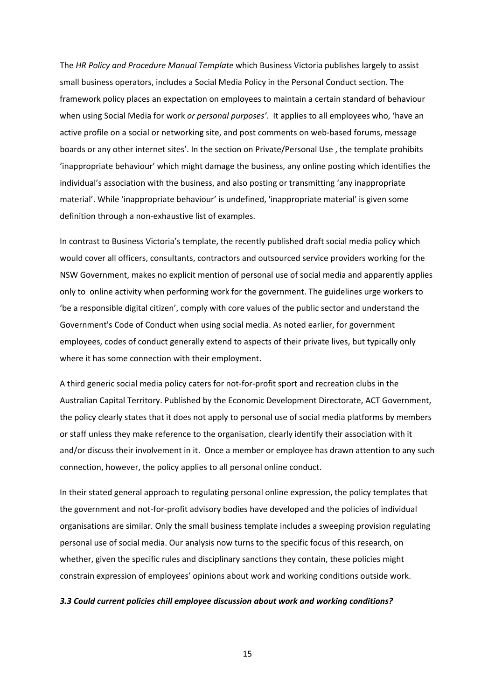The *HR Policy and Procedure Manual Template* which Business Victoria publishes largely to assist small business operators, includes a Social Media Policy in the Personal Conduct section. The framework policy places an expectation on employees to maintain a certain standard of behaviour when using Social Media for work *or personal purposes'*. It applies to all employees who, 'have an active profile on a social or networking site, and post comments on web-based forums, message boards or any other internet sites'. In the section on Private/Personal Use , the template prohibits 'inappropriate behaviour' which might damage the business, any online posting which identifies the individual's association with the business, and also posting or transmitting 'any inappropriate material'. While 'inappropriate behaviour' is undefined, 'inappropriate material' is given some definition through a non‐exhaustive list of examples.

In contrast to Business Victoria's template, the recently published draft social media policy which would cover all officers, consultants, contractors and outsourced service providers working for the NSW Government, makes no explicit mention of personal use of social media and apparently applies only to online activity when performing work for the government. The guidelines urge workers to 'be a responsible digital citizen', comply with core values of the public sector and understand the Government's Code of Conduct when using social media. As noted earlier, for government employees, codes of conduct generally extend to aspects of their private lives, but typically only where it has some connection with their employment.

A third generic social media policy caters for not‐for‐profit sport and recreation clubs in the Australian Capital Territory. Published by the Economic Development Directorate, ACT Government, the policy clearly states that it does not apply to personal use of social media platforms by members or staff unless they make reference to the organisation, clearly identify their association with it and/or discuss their involvement in it. Once a member or employee has drawn attention to any such connection, however, the policy applies to all personal online conduct.

In their stated general approach to regulating personal online expression, the policy templates that the government and not-for-profit advisory bodies have developed and the policies of individual organisations are similar. Only the small business template includes a sweeping provision regulating personal use of social media. Our analysis now turns to the specific focus of this research, on whether, given the specific rules and disciplinary sanctions they contain, these policies might constrain expression of employees' opinions about work and working conditions outside work.

#### *3.3 Could current policies chill employee discussion about work and working conditions?*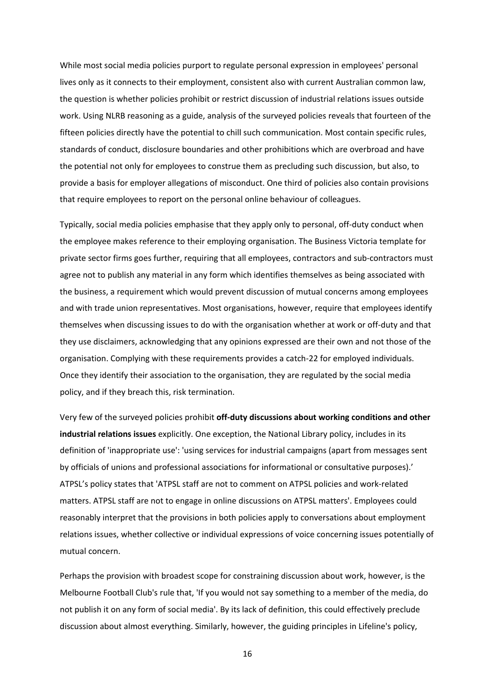While most social media policies purport to regulate personal expression in employees' personal lives only as it connects to their employment, consistent also with current Australian common law, the question is whether policies prohibit or restrict discussion of industrial relations issues outside work. Using NLRB reasoning as a guide, analysis of the surveyed policies reveals that fourteen of the fifteen policies directly have the potential to chill such communication. Most contain specific rules, standards of conduct, disclosure boundaries and other prohibitions which are overbroad and have the potential not only for employees to construe them as precluding such discussion, but also, to provide a basis for employer allegations of misconduct. One third of policies also contain provisions that require employees to report on the personal online behaviour of colleagues.

Typically, social media policies emphasise that they apply only to personal, off‐duty conduct when the employee makes reference to their employing organisation. The Business Victoria template for private sector firms goes further, requiring that all employees, contractors and sub‐contractors must agree not to publish any material in any form which identifies themselves as being associated with the business, a requirement which would prevent discussion of mutual concerns among employees and with trade union representatives. Most organisations, however, require that employees identify themselves when discussing issues to do with the organisation whether at work or off-duty and that they use disclaimers, acknowledging that any opinions expressed are their own and not those of the organisation. Complying with these requirements provides a catch‐22 for employed individuals. Once they identify their association to the organisation, they are regulated by the social media policy, and if they breach this, risk termination.

Very few of the surveyed policies prohibit **off‐duty discussions about working conditions and other industrial relations issues** explicitly. One exception, the National Library policy, includes in its definition of 'inappropriate use': 'using services for industrial campaigns (apart from messages sent by officials of unions and professional associations for informational or consultative purposes).' ATPSL's policy states that 'ATPSL staff are not to comment on ATPSL policies and work‐related matters. ATPSL staff are not to engage in online discussions on ATPSL matters'. Employees could reasonably interpret that the provisions in both policies apply to conversations about employment relations issues, whether collective or individual expressions of voice concerning issues potentially of mutual concern.

Perhaps the provision with broadest scope for constraining discussion about work, however, is the Melbourne Football Club's rule that, 'If you would not say something to a member of the media, do not publish it on any form of social media'. By its lack of definition, this could effectively preclude discussion about almost everything. Similarly, however, the guiding principles in Lifeline's policy,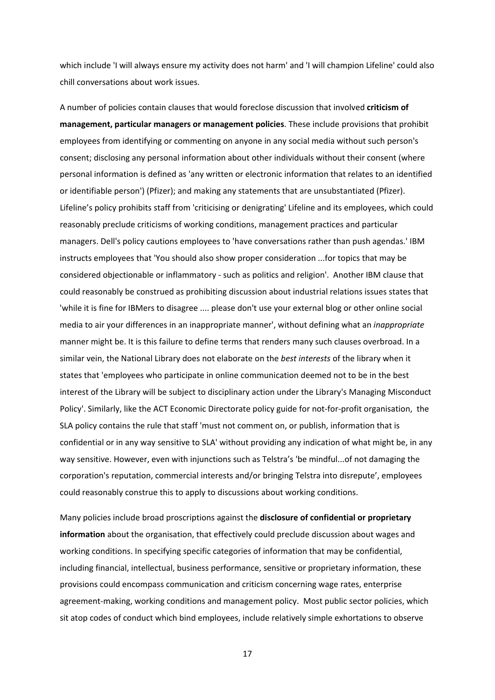which include 'I will always ensure my activity does not harm' and 'I will champion Lifeline' could also chill conversations about work issues.

A number of policies contain clauses that would foreclose discussion that involved **criticism of management, particular managers or management policies**. These include provisions that prohibit employees from identifying or commenting on anyone in any social media without such person's consent; disclosing any personal information about other individuals without their consent (where personal information is defined as 'any written or electronic information that relates to an identified or identifiable person') (Pfizer); and making any statements that are unsubstantiated (Pfizer). Lifeline's policy prohibits staff from 'criticising or denigrating' Lifeline and its employees, which could reasonably preclude criticisms of working conditions, management practices and particular managers. Dell's policy cautions employees to 'have conversations rather than push agendas.' IBM instructs employees that 'You should also show proper consideration ...for topics that may be considered objectionable or inflammatory ‐ such as politics and religion'. Another IBM clause that could reasonably be construed as prohibiting discussion about industrial relations issues states that 'while it is fine for IBMers to disagree .... please don't use your external blog or other online social media to air your differences in an inappropriate manner', without defining what an *inappropriate* manner might be. It is this failure to define terms that renders many such clauses overbroad. In a similar vein, the National Library does not elaborate on the *best interests* of the library when it states that 'employees who participate in online communication deemed not to be in the best interest of the Library will be subject to disciplinary action under the Library's Managing Misconduct Policy'. Similarly, like the ACT Economic Directorate policy guide for not‐for‐profit organisation, the SLA policy contains the rule that staff 'must not comment on, or publish, information that is confidential or in any way sensitive to SLA' without providing any indication of what might be, in any way sensitive. However, even with injunctions such as Telstra's 'be mindful...of not damaging the corporation's reputation, commercial interests and/or bringing Telstra into disrepute', employees could reasonably construe this to apply to discussions about working conditions.

Many policies include broad proscriptions against the **disclosure of confidential or proprietary information** about the organisation, that effectively could preclude discussion about wages and working conditions. In specifying specific categories of information that may be confidential, including financial, intellectual, business performance, sensitive or proprietary information, these provisions could encompass communication and criticism concerning wage rates, enterprise agreement-making, working conditions and management policy. Most public sector policies, which sit atop codes of conduct which bind employees, include relatively simple exhortations to observe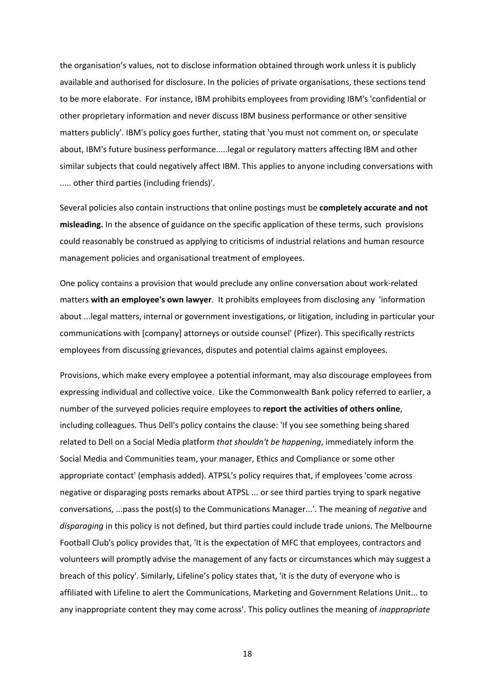the organisation's values, not to disclose information obtained through work unless it is publicly available and authorised for disclosure. In the policies of private organisations, these sections tend to be more elaborate. For instance, IBM prohibits employees from providing IBM's 'confidential or other proprietary information and never discuss IBM business performance or other sensitive matters publicly'. IBM's policy goes further, stating that 'you must not comment on, or speculate about, IBM's future business performance.....legal or regulatory matters affecting IBM and other similar subjects that could negatively affect IBM. This applies to anyone including conversations with ..... other third parties (including friends)'.

Several policies also contain instructions that online postings must be **completely accurate and not misleading.** In the absence of guidance on the specific application of these terms, such provisions could reasonably be construed as applying to criticisms of industrial relations and human resource management policies and organisational treatment of employees.

One policy contains a provision that would preclude any online conversation about work‐related matters **with an employee's own lawyer**. It prohibits employees from disclosing any 'information about ...legal matters, internal or government investigations, or litigation, including in particular your communications with [company] attorneys or outside counsel' (Pfizer). This specifically restricts employees from discussing grievances, disputes and potential claims against employees.

Provisions, which make every employee a potential informant, may also discourage employees from expressing individual and collective voice. Like the Commonwealth Bank policy referred to earlier, a number of the surveyed policies require employees to **report the activities of others online**, including colleagues. Thus Dell's policy contains the clause: 'If you see something being shared related to Dell on a Social Media platform *that shouldn't be happening*, immediately inform the Social Media and Communities team, your manager, Ethics and Compliance or some other appropriate contact' (emphasis added). ATPSL's policy requires that, if employees 'come across negative or disparaging posts remarks about ATPSL ... or see third parties trying to spark negative conversations, ...pass the post(s) to the Communications Manager...'. The meaning of *negative* and *disparaging* in this policy is not defined, but third parties could include trade unions. The Melbourne Football Club's policy provides that, 'It is the expectation of MFC that employees, contractors and volunteers will promptly advise the management of any facts or circumstances which may suggest a breach of this policy'. Similarly, Lifeline's policy states that, 'it is the duty of everyone who is affiliated with Lifeline to alert the Communications, Marketing and Government Relations Unit... to any inappropriate content they may come across'. This policy outlines the meaning of *inappropriate*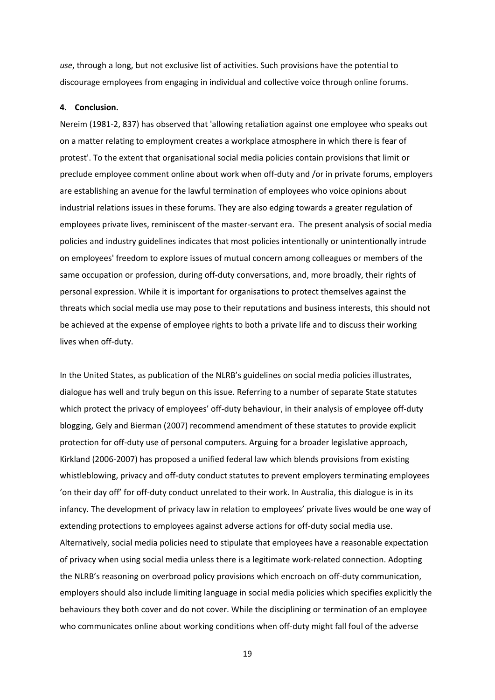*use*, through a long, but not exclusive list of activities. Such provisions have the potential to discourage employees from engaging in individual and collective voice through online forums.

#### **4. Conclusion.**

Nereim (1981‐2, 837) has observed that 'allowing retaliation against one employee who speaks out on a matter relating to employment creates a workplace atmosphere in which there is fear of protest'. To the extent that organisational social media policies contain provisions that limit or preclude employee comment online about work when off-duty and /or in private forums, employers are establishing an avenue for the lawful termination of employees who voice opinions about industrial relations issues in these forums. They are also edging towards a greater regulation of employees private lives, reminiscent of the master‐servant era. The present analysis of social media policies and industry guidelines indicates that most policies intentionally or unintentionally intrude on employees' freedom to explore issues of mutual concern among colleagues or members of the same occupation or profession, during off-duty conversations, and, more broadly, their rights of personal expression. While it is important for organisations to protect themselves against the threats which social media use may pose to their reputations and business interests, this should not be achieved at the expense of employee rights to both a private life and to discuss their working lives when off‐duty.

In the United States, as publication of the NLRB's guidelines on social media policies illustrates, dialogue has well and truly begun on this issue. Referring to a number of separate State statutes which protect the privacy of employees' off-duty behaviour, in their analysis of employee off-duty blogging, Gely and Bierman (2007) recommend amendment of these statutes to provide explicit protection for off‐duty use of personal computers. Arguing for a broader legislative approach, Kirkland (2006‐2007) has proposed a unified federal law which blends provisions from existing whistleblowing, privacy and off-duty conduct statutes to prevent employers terminating employees 'on their day off' for off‐duty conduct unrelated to their work. In Australia, this dialogue is in its infancy. The development of privacy law in relation to employees' private lives would be one way of extending protections to employees against adverse actions for off‐duty social media use. Alternatively, social media policies need to stipulate that employees have a reasonable expectation of privacy when using social media unless there is a legitimate work‐related connection. Adopting the NLRB's reasoning on overbroad policy provisions which encroach on off‐duty communication, employers should also include limiting language in social media policies which specifies explicitly the behaviours they both cover and do not cover. While the disciplining or termination of an employee who communicates online about working conditions when off-duty might fall foul of the adverse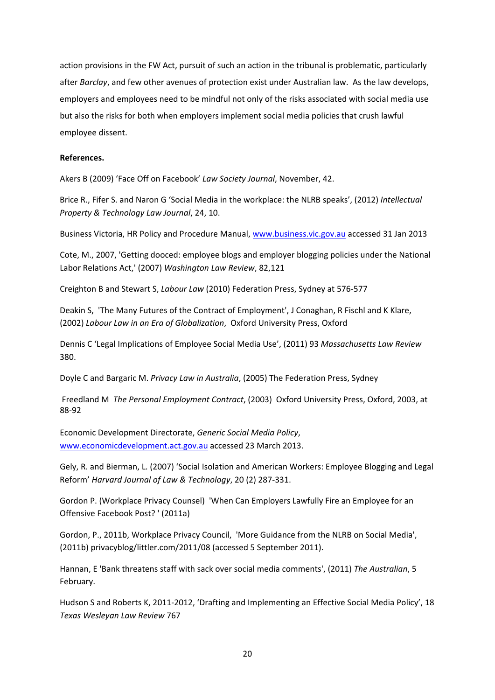action provisions in the FW Act, pursuit of such an action in the tribunal is problematic, particularly after *Barclay*, and few other avenues of protection exist under Australian law. As the law develops, employers and employees need to be mindful not only of the risks associated with social media use but also the risks for both when employers implement social media policies that crush lawful employee dissent.

## **References.**

Akers B (2009) 'Face Off on Facebook' *Law Society Journal*, November, 42.

Brice R., Fifer S. and Naron G 'Social Media in the workplace: the NLRB speaks', (2012) *Intellectual Property & Technology Law Journal*, 24, 10.

Business Victoria, HR Policy and Procedure Manual, www.business.vic.gov.au accessed 31 Jan 2013

Cote, M., 2007, 'Getting dooced: employee blogs and employer blogging policies under the National Labor Relations Act,' (2007) *Washington Law Review*, 82,121

Creighton B and Stewart S, *Labour Law* (2010) Federation Press, Sydney at 576‐577

Deakin S, 'The Many Futures of the Contract of Employment', J Conaghan, R Fischl and K Klare, (2002) *Labour Law in an Era of Globalization*, Oxford University Press, Oxford

Dennis C 'Legal Implications of Employee Social Media Use', (2011) 93 *Massachusetts Law Review* 380.

Doyle C and Bargaric M. *Privacy Law in Australia*, (2005) The Federation Press, Sydney

Freedland M *The Personal Employment Contract*, (2003) Oxford University Press, Oxford, 2003, at 88‐92

Economic Development Directorate, *Generic Social Media Policy*, www.economicdevelopment.act.gov.au accessed 23 March 2013.

Gely, R. and Bierman, L. (2007) 'Social Isolation and American Workers: Employee Blogging and Legal Reform' *Harvard Journal of Law & Technology*, 20 (2) 287‐331.

Gordon P. (Workplace Privacy Counsel) 'When Can Employers Lawfully Fire an Employee for an Offensive Facebook Post? ' (2011a)

Gordon, P., 2011b, Workplace Privacy Council, 'More Guidance from the NLRB on Social Media', (2011b) privacyblog/littler.com/2011/08 (accessed 5 September 2011).

Hannan, E 'Bank threatens staff with sack over social media comments', (2011) *The Australian*, 5 February.

Hudson S and Roberts K, 2011‐2012, 'Drafting and Implementing an Effective Social Media Policy', 18 *Texas Wesleyan Law Review* 767